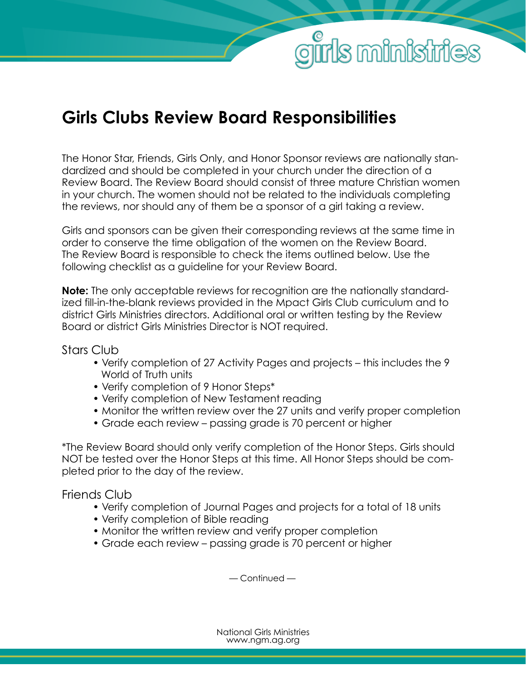## **Girls Clubs Review Board Responsibilities**

The Honor Star, Friends, Girls Only, and Honor Sponsor reviews are nationally standardized and should be completed in your church under the direction of a Review Board. The Review Board should consist of three mature Christian women in your church. The women should not be related to the individuals completing the reviews, nor should any of them be a sponsor of a girl taking a review.

**Is ministries** 

Girls and sponsors can be given their corresponding reviews at the same time in order to conserve the time obligation of the women on the Review Board. The Review Board is responsible to check the items outlined below. Use the following checklist as a guideline for your Review Board.

**Note:** The only acceptable reviews for recognition are the nationally standardized fill-in-the-blank reviews provided in the Mpact Girls Club curriculum and to district Girls Ministries directors. Additional oral or written testing by the Review Board or district Girls Ministries Director is NOT required.

Stars Club

- Verify completion of 27 Activity Pages and projects this includes the 9 World of Truth units
- Verify completion of 9 Honor Steps\*
- Verify completion of New Testament reading
- Monitor the written review over the 27 units and verify proper completion
- Grade each review passing grade is 70 percent or higher

\*The Review Board should only verify completion of the Honor Steps. Girls should NOT be tested over the Honor Steps at this time. All Honor Steps should be completed prior to the day of the review.

Friends Club

- Verify completion of Journal Pages and projects for a total of 18 units
- Verify completion of Bible reading
- Monitor the written review and verify proper completion
- Grade each review passing grade is 70 percent or higher

— Continued —

National Girls Ministries www.ngm.ag.org